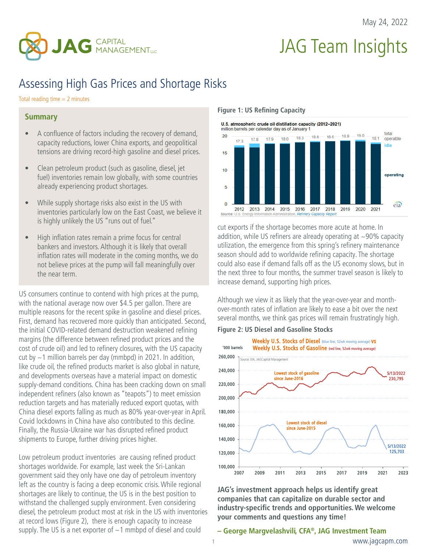

# JAG Team Insights

## Assessing High Gas Prices and Shortage Risks

Total reading time  $= 2$  minutes

#### **Summary**

- A confluence of factors including the recovery of demand, capacity reductions, lower China exports, and geopolitical tensions are driving record-high gasoline and diesel prices.
- Clean petroleum product (such as gasoline, diesel, jet fuel) inventories remain low globally, with some countries already experiencing product shortages.
- While supply shortage risks also exist in the US with inventories particularly low on the East Coast, we believe it is highly unlikely the US "runs out of fuel."
- High inflation rates remain a prime focus for central bankers and investors. Although it is likely that overall inflation rates will moderate in the coming months, we do not believe prices at the pump will fall meaningfully over the near term.

US consumers continue to contend with high prices at the pump, with the national average now over \$4.5 per gallon. There are multiple reasons for the recent spike in gasoline and diesel prices. First, demand has recovered more quickly than anticipated. Second, the initial COVID-related demand destruction weakened refining margins (the difference between refined product prices and the cost of crude oil) and led to refinery closures, with the US capacity cut by  $\sim$  1 million barrels per day (mmbpd) in 2021. In addition, like crude oil, the refined products market is also global in nature, and developments overseas have a material impact on domestic supply-demand conditions. China has been cracking down on small independent refiners (also known as "teapots") to meet emission reduction targets and has materially reduced export quotas, with China diesel exports falling as much as 80% year-over-year in April. Covid lockdowns in China have also contributed to this decline. Finally, the Russia-Ukraine war has disrupted refined product shipments to Europe, further driving prices higher.

Low petroleum product inventories are causing refined product shortages worldwide. For example, last week the Sri-Lankan government said they only have one day of petroleum inventory left as the country is facing a deep economic crisis. While regional shortages are likely to continue, the US is in the best position to withstand the challenged supply environment. Even considering diesel, the petroleum product most at risk in the US with inventories at record lows (Figure 2), there is enough capacity to increase supply. The US is a net exporter of  $\sim$  1 mmbpd of diesel and could

**Figure 1: US Refining Capacity**



cut exports if the shortage becomes more acute at home. In addition, while US refiners are already operating at  $\sim$ 90% capacity utilization, the emergence from this spring's refinery maintenance season should add to worldwide refining capacity. The shortage could also ease if demand falls off as the US economy slows, but in the next three to four months, the summer travel season is likely to increase demand, supporting high prices.

Although we view it as likely that the year-over-year and monthover-month rates of inflation are likely to ease a bit over the next several months, we think gas prices will remain frustratingly high.

**Figure 2: US Diesel and Gasoline Stocks**



**JAG's investment approach helps us identify great companies that can capitalize on durable sector and industry-specific trends and opportunities. We welcome your comments and questions any time!**

#### **– George Margvelashvili, CFA®, JAG Investment Team**